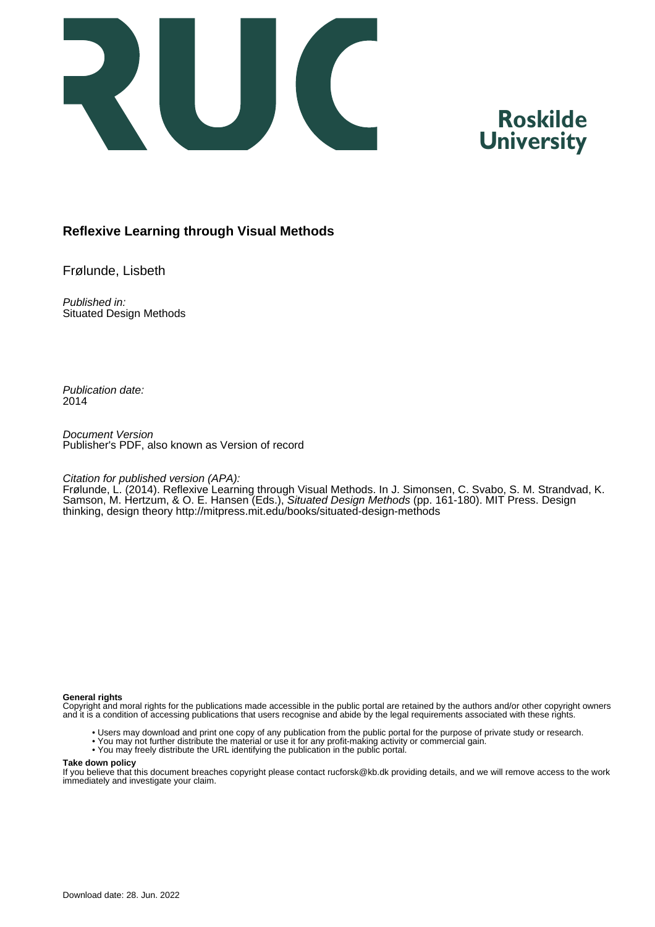

## **Roskilde University**

### **Reflexive Learning through Visual Methods**

Frølunde, Lisbeth

Published in: Situated Design Methods

Publication date: 2014

Document Version Publisher's PDF, also known as Version of record

#### Citation for published version (APA):

Frølunde, L. (2014). Reflexive Learning through Visual Methods. In J. Simonsen, C. Svabo, S. M. Strandvad, K. Samson, M. Hertzum, & O. E. Hansen (Eds.), Situated Design Methods (pp. 161-180). MIT Press. Design thinking, design theory <http://mitpress.mit.edu/books/situated-design-methods>

#### **General rights**

Copyright and moral rights for the publications made accessible in the public portal are retained by the authors and/or other copyright owners and it is a condition of accessing publications that users recognise and abide by the legal requirements associated with these rights.

- Users may download and print one copy of any publication from the public portal for the purpose of private study or research.
- You may not further distribute the material or use it for any profit-making activity or commercial gain.
- You may freely distribute the URL identifying the publication in the public portal.

#### **Take down policy**

If you believe that this document breaches copyright please contact rucforsk@kb.dk providing details, and we will remove access to the work immediately and investigate your claim.